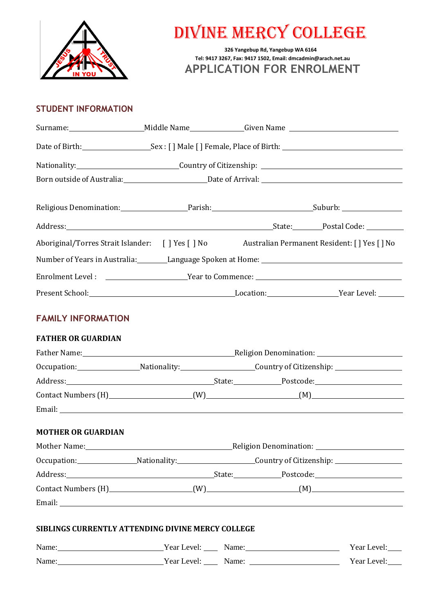

# DIVINE MERCY COLLEGE

**326 Yangebup Rd, Yangebup WA 6164 Tel: 9417 3267, Fax: 9417 1502, Email: [dmcadmin@arach.net.au](mailto:dmcadmin@arach.net.au) APPLICATION FOR ENROLMENT**

# **STUDENT INFORMATION**

|                                                            | Born outside of Australia: Date of Arrival: 1990 Marrival: 2001 Marrix 2008 Marrival: 2007 Marrix 2008 Marrix 2009 Marrix 2009 Marrix 2009 Marrix 2009 Marrix 2009 Marrix 2009 Marrix 2009 Marrix 2009 Marrix 2009 Marrix 2009 |                                                               |                                                                                                                 |
|------------------------------------------------------------|--------------------------------------------------------------------------------------------------------------------------------------------------------------------------------------------------------------------------------|---------------------------------------------------------------|-----------------------------------------------------------------------------------------------------------------|
|                                                            |                                                                                                                                                                                                                                |                                                               |                                                                                                                 |
|                                                            |                                                                                                                                                                                                                                |                                                               |                                                                                                                 |
|                                                            |                                                                                                                                                                                                                                |                                                               | Aboriginal/Torres Strait Islander: [ ] Yes [ ] No Australian Permanent Resident: [ ] Yes [ ] No                 |
|                                                            |                                                                                                                                                                                                                                |                                                               | Number of Years in Australia: Language Spoken at Home: Language Spoken at Mome: Number of Years in Australia: L |
|                                                            |                                                                                                                                                                                                                                |                                                               |                                                                                                                 |
|                                                            |                                                                                                                                                                                                                                |                                                               |                                                                                                                 |
| <b>FAMILY INFORMATION</b>                                  |                                                                                                                                                                                                                                |                                                               |                                                                                                                 |
| <b>FATHER OR GUARDIAN</b>                                  |                                                                                                                                                                                                                                |                                                               |                                                                                                                 |
|                                                            | Father Name: 1990 March 2010 March 2010 March 2010 March 2010 March 2010 March 2010 March 2010 March 2010 March 2010 March 2010 March 2010 March 2010 March 2010 March 2010 March 2010 March 2010 March 2010 March 2010 March  |                                                               |                                                                                                                 |
|                                                            |                                                                                                                                                                                                                                | Occupation: Nationality: Country of Citizenship: Nationality: |                                                                                                                 |
|                                                            |                                                                                                                                                                                                                                |                                                               |                                                                                                                 |
|                                                            |                                                                                                                                                                                                                                |                                                               |                                                                                                                 |
| <b>MOTHER OR GUARDIAN</b>                                  |                                                                                                                                                                                                                                |                                                               |                                                                                                                 |
|                                                            | Religion Denomination: _______                                                                                                                                                                                                 |                                                               |                                                                                                                 |
|                                                            |                                                                                                                                                                                                                                |                                                               | Occupation: Nationality: Nationality: Country of Citizenship: Nationality:                                      |
|                                                            |                                                                                                                                                                                                                                |                                                               |                                                                                                                 |
|                                                            |                                                                                                                                                                                                                                |                                                               |                                                                                                                 |
| SIBLINGS CURRENTLY ATTENDING DIVINE MERCY COLLEGE<br>Name: | Year Level:                                                                                                                                                                                                                    | Name:                                                         | Year Level:                                                                                                     |

Name: Name: Name: Name: Name: Name: Name: Name: Name: Name: Name: Name: Name: Name: Name: Name: Name: Name: Name: Name: Name:  $\frac{1}{2}$ Year Level: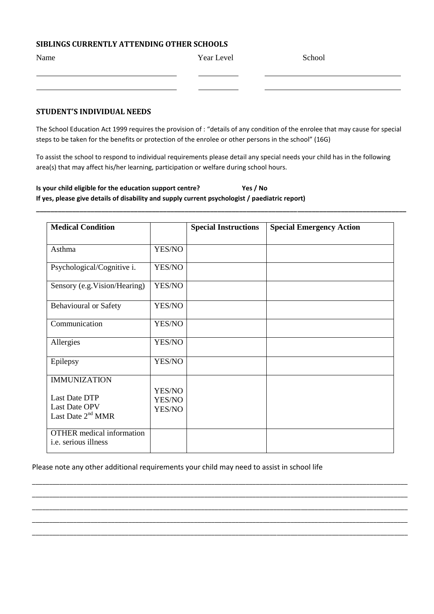# **SIBLINGS CURRENTLY ATTENDING OTHER SCHOOLS**

| Name | Year Level | School |
|------|------------|--------|
|      |            |        |
|      |            |        |

## **STUDENT'S INDIVIDUAL NEEDS**

The School Education Act 1999 requires the provision of : "details of any condition of the enrolee that may cause for special steps to be taken for the benefits or protection of the enrolee or other persons in the school" (16G)

To assist the school to respond to individual requirements please detail any special needs your child has in the following area(s) that may affect his/her learning, participation or welfare during school hours.

**\_\_\_\_\_\_\_\_\_\_\_\_\_\_\_\_\_\_\_\_\_\_\_\_\_\_\_\_\_\_\_\_\_\_\_\_\_\_\_\_\_\_\_\_\_\_\_\_\_\_\_\_\_\_\_\_\_\_\_\_\_\_\_\_\_\_\_\_\_\_\_\_\_\_\_\_\_\_\_\_\_\_\_\_\_\_\_\_\_\_\_\_\_\_\_\_\_\_\_\_\_\_**

## **Is your child eligible for the education support centre? Yes / No If yes, please give details of disability and supply current psychologist / paediatric report)**

| <b>Medical Condition</b>                                                            |                            | <b>Special Instructions</b> | <b>Special Emergency Action</b> |
|-------------------------------------------------------------------------------------|----------------------------|-----------------------------|---------------------------------|
| Asthma                                                                              | YES/NO                     |                             |                                 |
| Psychological/Cognitive i.                                                          | YES/NO                     |                             |                                 |
| Sensory (e.g. Vision/Hearing)                                                       | YES/NO                     |                             |                                 |
| <b>Behavioural or Safety</b>                                                        | YES/NO                     |                             |                                 |
| Communication                                                                       | YES/NO                     |                             |                                 |
| Allergies                                                                           | YES/NO                     |                             |                                 |
| Epilepsy                                                                            | YES/NO                     |                             |                                 |
| <b>IMMUNIZATION</b><br>Last Date DTP<br><b>Last Date OPV</b><br>Last Date $2nd MMR$ | YES/NO<br>YES/NO<br>YES/NO |                             |                                 |
| <b>OTHER</b> medical information<br>i.e. serious illness                            |                            |                             |                                 |

\_\_\_\_\_\_\_\_\_\_\_\_\_\_\_\_\_\_\_\_\_\_\_\_\_\_\_\_\_\_\_\_\_\_\_\_\_\_\_\_\_\_\_\_\_\_\_\_\_\_\_\_\_\_\_\_\_\_\_\_\_\_\_\_\_\_\_\_\_\_\_\_\_\_\_\_\_\_\_\_\_\_\_\_\_\_\_\_\_\_\_\_\_\_\_\_\_\_\_\_\_\_\_\_\_\_\_\_\_ \_\_\_\_\_\_\_\_\_\_\_\_\_\_\_\_\_\_\_\_\_\_\_\_\_\_\_\_\_\_\_\_\_\_\_\_\_\_\_\_\_\_\_\_\_\_\_\_\_\_\_\_\_\_\_\_\_\_\_\_\_\_\_\_\_\_\_\_\_\_\_\_\_\_\_\_\_\_\_\_\_\_\_\_\_\_\_\_\_\_\_\_\_\_\_\_\_\_\_\_\_\_\_\_\_\_\_\_\_ \_\_\_\_\_\_\_\_\_\_\_\_\_\_\_\_\_\_\_\_\_\_\_\_\_\_\_\_\_\_\_\_\_\_\_\_\_\_\_\_\_\_\_\_\_\_\_\_\_\_\_\_\_\_\_\_\_\_\_\_\_\_\_\_\_\_\_\_\_\_\_\_\_\_\_\_\_\_\_\_\_\_\_\_\_\_\_\_\_\_\_\_\_\_\_\_\_\_\_\_\_\_\_\_\_\_\_\_\_ \_\_\_\_\_\_\_\_\_\_\_\_\_\_\_\_\_\_\_\_\_\_\_\_\_\_\_\_\_\_\_\_\_\_\_\_\_\_\_\_\_\_\_\_\_\_\_\_\_\_\_\_\_\_\_\_\_\_\_\_\_\_\_\_\_\_\_\_\_\_\_\_\_\_\_\_\_\_\_\_\_\_\_\_\_\_\_\_\_\_\_\_\_\_\_\_\_\_\_\_\_\_\_\_\_\_\_\_\_ \_\_\_\_\_\_\_\_\_\_\_\_\_\_\_\_\_\_\_\_\_\_\_\_\_\_\_\_\_\_\_\_\_\_\_\_\_\_\_\_\_\_\_\_\_\_\_\_\_\_\_\_\_\_\_\_\_\_\_\_\_\_\_\_\_\_\_\_\_\_\_\_\_\_\_\_\_\_\_\_\_\_\_\_\_\_\_\_\_\_\_\_\_\_\_\_\_\_\_\_\_\_\_\_\_\_\_\_\_

#### Please note any other additional requirements your child may need to assist in school life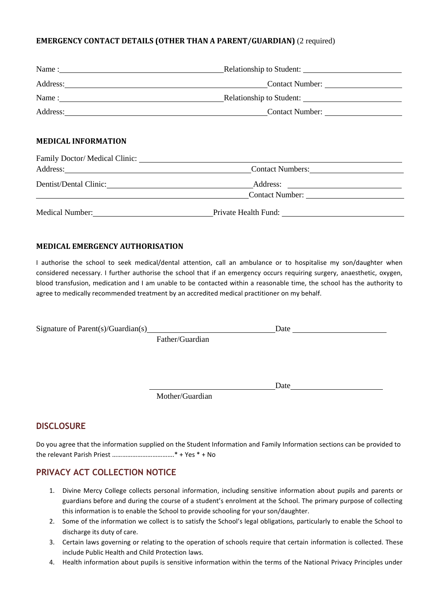## **EMERGENCY CONTACT DETAILS (OTHER THAN A PARENT/GUARDIAN)** (2 required)

|                            | Name: Name : Name : Name : Name : Name : Name : Name : Name : Name : Name : Name : Name : Name : Name : Name : Name : Name : Name : Name : Name : Name : Name : Name : Name : Name : Name : Name : Name : Name : Name : Name : |  |
|----------------------------|--------------------------------------------------------------------------------------------------------------------------------------------------------------------------------------------------------------------------------|--|
|                            | Address: Contact Number: Contact Number:                                                                                                                                                                                       |  |
|                            | Name: Name : Name : Name : Name : Name : Name : Name : Name : Name : Name : Name : Name : Name : Name : Name : Name : Name : Name : Name : Name : Name : Name : Name : Name : Name : Name : Name : Name : Name : Name : Name : |  |
|                            | Address: Contact Number: Contact Number:                                                                                                                                                                                       |  |
| <b>MEDICAL INFORMATION</b> |                                                                                                                                                                                                                                |  |
|                            |                                                                                                                                                                                                                                |  |
|                            | Contact Numbers:                                                                                                                                                                                                               |  |
|                            |                                                                                                                                                                                                                                |  |
|                            | Contact Number:                                                                                                                                                                                                                |  |

Medical Number: Private Health Fund:

#### **MEDICAL EMERGENCY AUTHORISATION**

I authorise the school to seek medical/dental attention, call an ambulance or to hospitalise my son/daughter when considered necessary. I further authorise the school that if an emergency occurs requiring surgery, anaesthetic, oxygen, blood transfusion, medication and I am unable to be contacted within a reasonable time, the school has the authority to agree to medically recommended treatment by an accredited medical practitioner on my behalf.

| Signature of Parent $(s)/$ Guardian $(s)$ |                 | Date |  |
|-------------------------------------------|-----------------|------|--|
|                                           | Father/Guardian |      |  |

Mother/Guardian

## **DISCLOSURE**

Do you agree that the information supplied on the Student Information and Family Information sections can be provided to the relevant Parish Priest ……………………………….\* + Yes \* + No

Date and the set of the set of the set of the set of the set of the set of the set of the set of the set of the set of the set of the set of the set of the set of the set of the set of the set of the set of the set of the

# **PRIVACY ACT COLLECTION NOTICE**

- 1. Divine Mercy College collects personal information, including sensitive information about pupils and parents or guardians before and during the course of a student's enrolment at the School. The primary purpose of collecting this information is to enable the School to provide schooling for yourson/daughter.
- 2. Some of the information we collect is to satisfy the School's legal obligations, particularly to enable the School to discharge its duty of care.
- 3. Certain laws governing or relating to the operation of schools require that certain information is collected. These include Public Health and Child Protection laws.
- 4. Health information about pupils is sensitive information within the terms of the National Privacy Principles under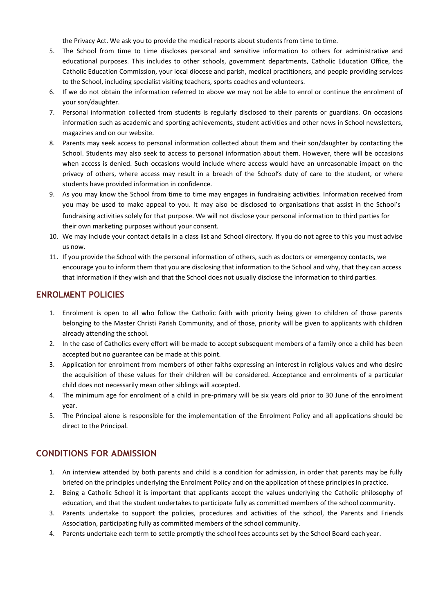the Privacy Act. We ask you to provide the medical reports about students from time to time.

- 5. The School from time to time discloses personal and sensitive information to others for administrative and educational purposes. This includes to other schools, government departments, Catholic Education Office, the Catholic Education Commission, your local diocese and parish, medical practitioners, and people providing services to the School, including specialist visiting teachers, sports coaches and volunteers.
- 6. If we do not obtain the information referred to above we may not be able to enrol or continue the enrolment of your son/daughter.
- 7. Personal information collected from students is regularly disclosed to their parents or guardians. On occasions information such as academic and sporting achievements, student activities and other news in School newsletters, magazines and on our website.
- 8. Parents may seek access to personal information collected about them and their son/daughter by contacting the School. Students may also seek to access to personal information about them. However, there will be occasions when access is denied. Such occasions would include where access would have an unreasonable impact on the privacy of others, where access may result in a breach of the School's duty of care to the student, or where students have provided information in confidence.
- 9. As you may know the School from time to time may engages in fundraising activities. Information received from you may be used to make appeal to you. It may also be disclosed to organisations that assist in the School's fundraising activities solely for that purpose. We will not disclose your personal information to third parties for their own marketing purposes without your consent.
- 10. We may include your contact details in a class list and School directory. If you do not agree to this you must advise us now.
- 11. If you provide the School with the personal information of others, such as doctors or emergency contacts, we encourage you to inform them that you are disclosing that information to the School and why, that they can access that information if they wish and that the School does not usually disclose the information to third parties.

#### **ENROLMENT POLICIES**

- 1. Enrolment is open to all who follow the Catholic faith with priority being given to children of those parents belonging to the Master Christi Parish Community, and of those, priority will be given to applicants with children already attending the school.
- 2. In the case of Catholics every effort will be made to accept subsequent members of a family once a child has been accepted but no guarantee can be made at this point.
- 3. Application for enrolment from members of other faiths expressing an interest in religious values and who desire the acquisition of these values for their children will be considered. Acceptance and enrolments of a particular child does not necessarily mean other siblings will accepted.
- 4. The minimum age for enrolment of a child in pre-primary will be six years old prior to 30 June of the enrolment year.
- 5. The Principal alone is responsible for the implementation of the Enrolment Policy and all applications should be direct to the Principal.

## **CONDITIONS FOR ADMISSION**

- 1. An interview attended by both parents and child is a condition for admission, in order that parents may be fully briefed on the principles underlying the Enrolment Policy and on the application of these principles in practice.
- 2. Being a Catholic School it is important that applicants accept the values underlying the Catholic philosophy of education, and that the student undertakes to participate fully as committed members of the school community.
- 3. Parents undertake to support the policies, procedures and activities of the school, the Parents and Friends Association, participating fully as committed members of the school community.
- 4. Parents undertake each term to settle promptly the school fees accounts set by the School Board each year.